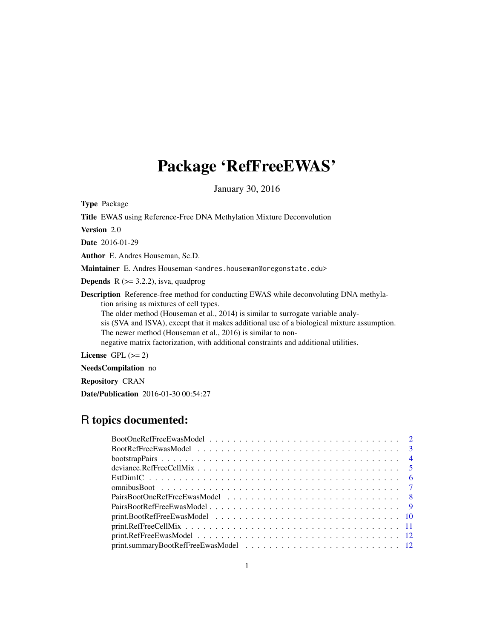# Package 'RefFreeEWAS'

January 30, 2016

<span id="page-0-0"></span>Type Package

Title EWAS using Reference-Free DNA Methylation Mixture Deconvolution

Version 2.0

Date 2016-01-29

Author E. Andres Houseman, Sc.D.

Maintainer E. Andres Houseman <andres.houseman@oregonstate.edu>

**Depends**  $R$  ( $>=$  3.2.2), isva, quadprog

Description Reference-free method for conducting EWAS while deconvoluting DNA methylation arising as mixtures of cell types.

The older method (Houseman et al., 2014) is similar to surrogate variable analysis (SVA and ISVA), except that it makes additional use of a biological mixture assumption. The newer method (Houseman et al., 2016) is similar to non-

negative matrix factorization, with additional constraints and additional utilities.

License GPL  $(>= 2)$ 

NeedsCompilation no

Repository CRAN

Date/Publication 2016-01-30 00:54:27

# R topics documented: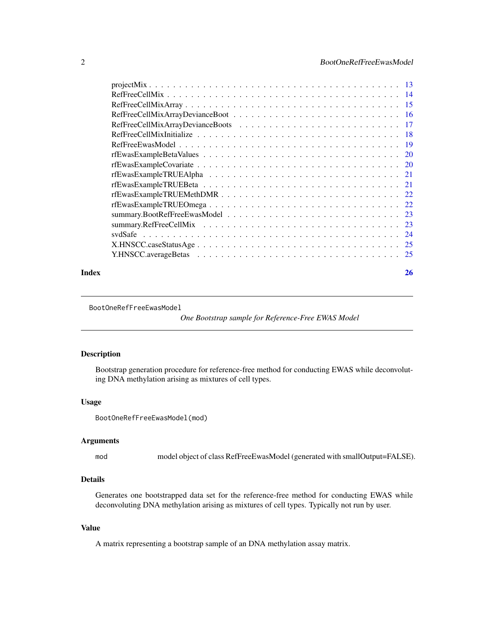<span id="page-1-0"></span>

#### **Index** [26](#page-25-0)

<span id="page-1-1"></span>BootOneRefFreeEwasModel

*One Bootstrap sample for Reference-Free EWAS Model*

# Description

Bootstrap generation procedure for reference-free method for conducting EWAS while deconvoluting DNA methylation arising as mixtures of cell types.

## Usage

```
BootOneRefFreeEwasModel(mod)
```
## Arguments

mod model object of class RefFreeEwasModel (generated with smallOutput=FALSE).

# Details

Generates one bootstrapped data set for the reference-free method for conducting EWAS while deconvoluting DNA methylation arising as mixtures of cell types. Typically not run by user.

# Value

A matrix representing a bootstrap sample of an DNA methylation assay matrix.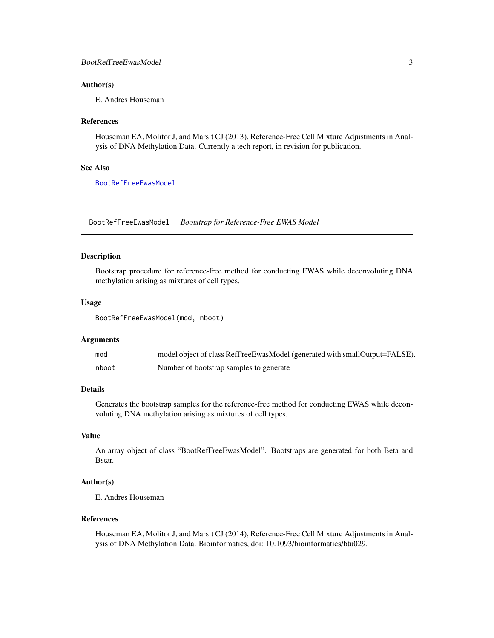## <span id="page-2-0"></span>Author(s)

E. Andres Houseman

#### References

Houseman EA, Molitor J, and Marsit CJ (2013), Reference-Free Cell Mixture Adjustments in Analysis of DNA Methylation Data. Currently a tech report, in revision for publication.

# See Also

[BootRefFreeEwasModel](#page-2-1)

<span id="page-2-1"></span>BootRefFreeEwasModel *Bootstrap for Reference-Free EWAS Model*

## Description

Bootstrap procedure for reference-free method for conducting EWAS while deconvoluting DNA methylation arising as mixtures of cell types.

## Usage

BootRefFreeEwasModel(mod, nboot)

## Arguments

| mod   | model object of class RefFreeEwasModel (generated with smallOutput=FALSE). |
|-------|----------------------------------------------------------------------------|
| nboot | Number of bootstrap samples to generate                                    |

## Details

Generates the bootstrap samples for the reference-free method for conducting EWAS while deconvoluting DNA methylation arising as mixtures of cell types.

## Value

An array object of class "BootRefFreeEwasModel". Bootstraps are generated for both Beta and Bstar.

## Author(s)

E. Andres Houseman

## References

Houseman EA, Molitor J, and Marsit CJ (2014), Reference-Free Cell Mixture Adjustments in Analysis of DNA Methylation Data. Bioinformatics, doi: 10.1093/bioinformatics/btu029.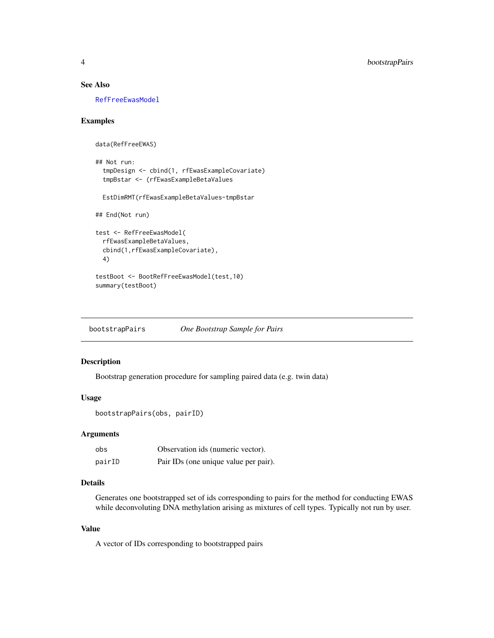# See Also

[RefFreeEwasModel](#page-18-1)

## Examples

```
data(RefFreeEWAS)
## Not run:
 tmpDesign <- cbind(1, rfEwasExampleCovariate)
 tmpBstar <- (rfEwasExampleBetaValues
 EstDimRMT(rfEwasExampleBetaValues-tmpBstar
## End(Not run)
test <- RefFreeEwasModel(
 rfEwasExampleBetaValues,
 cbind(1,rfEwasExampleCovariate),
 4)
testBoot <- BootRefFreeEwasModel(test,10)
summary(testBoot)
```
bootstrapPairs *One Bootstrap Sample for Pairs*

# Description

Bootstrap generation procedure for sampling paired data (e.g. twin data)

# Usage

```
bootstrapPairs(obs, pairID)
```
# Arguments

| obs    | Observation ids (numeric vector).     |
|--------|---------------------------------------|
| pairID | Pair IDs (one unique value per pair). |

# Details

Generates one bootstrapped set of ids corresponding to pairs for the method for conducting EWAS while deconvoluting DNA methylation arising as mixtures of cell types. Typically not run by user.

# Value

A vector of IDs corresponding to bootstrapped pairs

<span id="page-3-0"></span>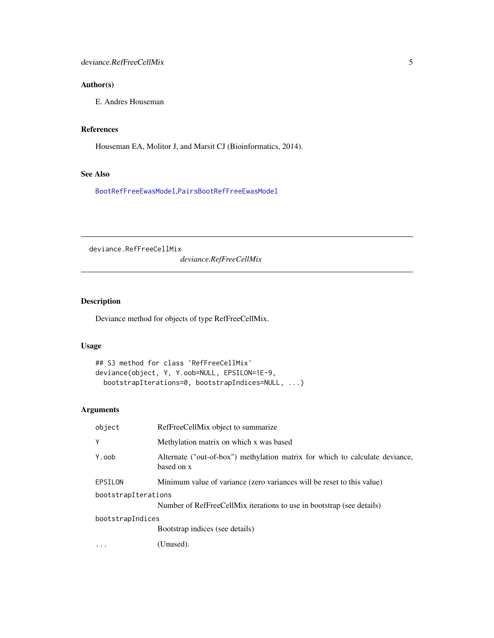# <span id="page-4-0"></span>Author(s)

E. Andres Houseman

# References

Houseman EA, Molitor J, and Marsit CJ (Bioinformatics, 2014).

# See Also

[BootRefFreeEwasModel](#page-2-1),[PairsBootRefFreeEwasModel](#page-8-1)

deviance.RefFreeCellMix

*deviance.RefFreeCellMix*

# Description

Deviance method for objects of type RefFreeCellMix.

# Usage

```
## S3 method for class 'RefFreeCellMix'
deviance(object, Y, Y.oob=NULL, EPSILON=1E-9,
 bootstrapIterations=0, bootstrapIndices=NULL, ...)
```
# Arguments

| object              | RefFreeCellMix object to summarize                                                         |  |
|---------------------|--------------------------------------------------------------------------------------------|--|
| Y                   | Methylation matrix on which x was based                                                    |  |
| Y.oob               | Alternate ("out-of-box") methylation matrix for which to calculate deviance,<br>based on x |  |
| EPSILON             | Minimum value of variance (zero variances will be reset to this value)                     |  |
| bootstrapIterations | Number of RefFreeCellMix iterations to use in bootstrap (see details)                      |  |
| bootstrapIndices    |                                                                                            |  |
|                     | Bootstrap indices (see details)                                                            |  |
|                     | (Unused).                                                                                  |  |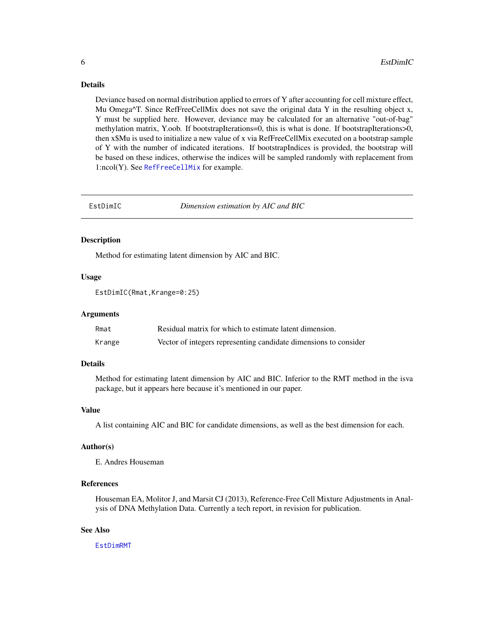## <span id="page-5-0"></span>Details

Deviance based on normal distribution applied to errors of Y after accounting for cell mixture effect, Mu Omega $\text{AT}$ . Since RefFreeCellMix does not save the original data Y in the resulting object x, Y must be supplied here. However, deviance may be calculated for an alternative "out-of-bag" methylation matrix, Y.oob. If bootstrapIterations=0, this is what is done. If bootstrapIterations>0, then x\$Mu is used to initialize a new value of x via RefFreeCellMix executed on a bootstrap sample of Y with the number of indicated iterations. If bootstrapIndices is provided, the bootstrap will be based on these indices, otherwise the indices will be sampled randomly with replacement from 1:ncol(Y). See [RefFreeCellMix](#page-13-1) for example.

EstDimIC *Dimension estimation by AIC and BIC*

#### Description

Method for estimating latent dimension by AIC and BIC.

## Usage

EstDimIC(Rmat,Krange=0:25)

### Arguments

| Rmat   | Residual matrix for which to estimate latent dimension.          |
|--------|------------------------------------------------------------------|
| Krange | Vector of integers representing candidate dimensions to consider |

# Details

Method for estimating latent dimension by AIC and BIC. Inferior to the RMT method in the isva package, but it appears here because it's mentioned in our paper.

#### Value

A list containing AIC and BIC for candidate dimensions, as well as the best dimension for each.

# Author(s)

E. Andres Houseman

# References

Houseman EA, Molitor J, and Marsit CJ (2013), Reference-Free Cell Mixture Adjustments in Analysis of DNA Methylation Data. Currently a tech report, in revision for publication.

## See Also

[EstDimRMT](#page-0-0)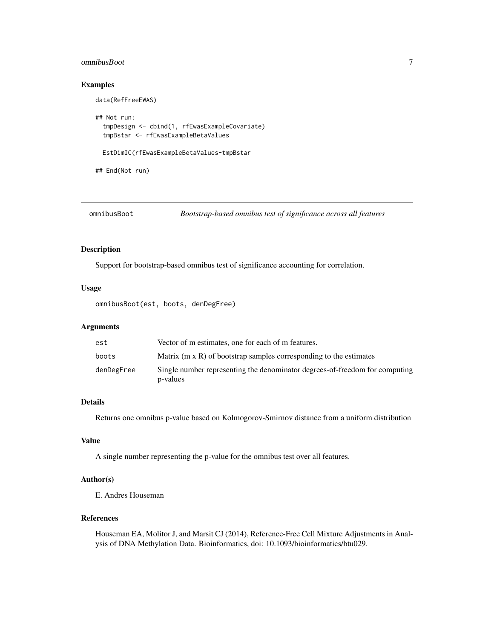#### <span id="page-6-0"></span>omnibusBoot 7

# Examples

```
## Not run:
 tmpDesign <- cbind(1, rfEwasExampleCovariate)
 tmpBstar <- rfEwasExampleBetaValues
 EstDimIC(rfEwasExampleBetaValues-tmpBstar
```
## End(Not run)

data(RefFreeEWAS)

omnibusBoot *Bootstrap-based omnibus test of significance across all features*

# Description

Support for bootstrap-based omnibus test of significance accounting for correlation.

# Usage

omnibusBoot(est, boots, denDegFree)

# Arguments

| est        | Vector of m estimates, one for each of m features.                                      |
|------------|-----------------------------------------------------------------------------------------|
| boots      | Matrix $(m \times R)$ of bootstrap samples corresponding to the estimates               |
| denDegFree | Single number representing the denominator degrees-of-freedom for computing<br>p-values |

# Details

Returns one omnibus p-value based on Kolmogorov-Smirnov distance from a uniform distribution

## Value

A single number representing the p-value for the omnibus test over all features.

# Author(s)

E. Andres Houseman

# References

Houseman EA, Molitor J, and Marsit CJ (2014), Reference-Free Cell Mixture Adjustments in Analysis of DNA Methylation Data. Bioinformatics, doi: 10.1093/bioinformatics/btu029.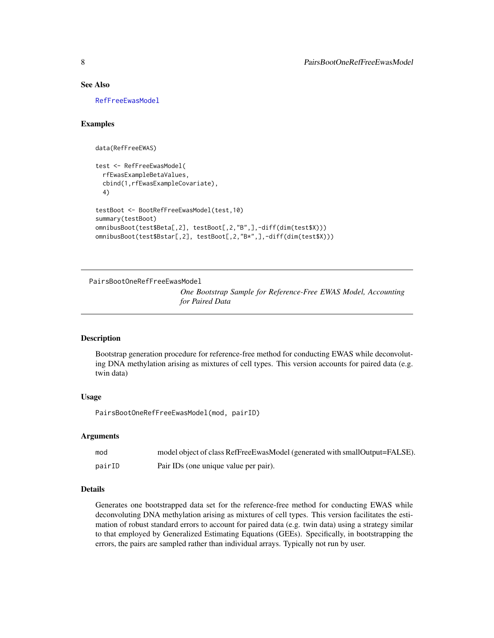## See Also

[RefFreeEwasModel](#page-18-1)

# Examples

```
data(RefFreeEWAS)
```

```
test <- RefFreeEwasModel(
 rfEwasExampleBetaValues,
 cbind(1,rfEwasExampleCovariate),
 4)
testBoot <- BootRefFreeEwasModel(test,10)
summary(testBoot)
omnibusBoot(test$Beta[,2], testBoot[,2,"B",],-diff(dim(test$X)))
omnibusBoot(test$Bstar[,2], testBoot[,2,"B*",],-diff(dim(test$X)))
```
PairsBootOneRefFreeEwasModel

*One Bootstrap Sample for Reference-Free EWAS Model, Accounting for Paired Data*

## Description

Bootstrap generation procedure for reference-free method for conducting EWAS while deconvoluting DNA methylation arising as mixtures of cell types. This version accounts for paired data (e.g. twin data)

#### Usage

PairsBootOneRefFreeEwasModel(mod, pairID)

#### Arguments

| mod    | model object of class RefFreeEwasModel (generated with smallOutput=FALSE). |
|--------|----------------------------------------------------------------------------|
| pairID | Pair IDs (one unique value per pair).                                      |

## Details

Generates one bootstrapped data set for the reference-free method for conducting EWAS while deconvoluting DNA methylation arising as mixtures of cell types. This version facilitates the estimation of robust standard errors to account for paired data (e.g. twin data) using a strategy similar to that employed by Generalized Estimating Equations (GEEs). Specifically, in bootstrapping the errors, the pairs are sampled rather than individual arrays. Typically not run by user.

<span id="page-7-0"></span>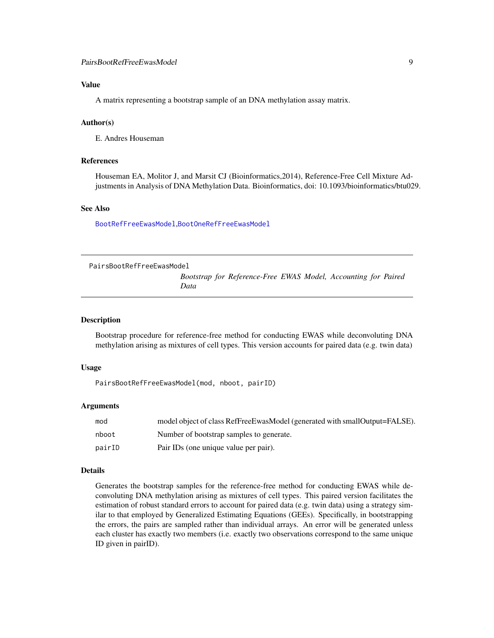# <span id="page-8-0"></span>Value

A matrix representing a bootstrap sample of an DNA methylation assay matrix.

#### Author(s)

E. Andres Houseman

## References

Houseman EA, Molitor J, and Marsit CJ (Bioinformatics,2014), Reference-Free Cell Mixture Adjustments in Analysis of DNA Methylation Data. Bioinformatics, doi: 10.1093/bioinformatics/btu029.

# See Also

[BootRefFreeEwasModel](#page-2-1),[BootOneRefFreeEwasModel](#page-1-1)

<span id="page-8-1"></span>PairsBootRefFreeEwasModel

*Bootstrap for Reference-Free EWAS Model, Accounting for Paired Data*

#### Description

Bootstrap procedure for reference-free method for conducting EWAS while deconvoluting DNA methylation arising as mixtures of cell types. This version accounts for paired data (e.g. twin data)

#### Usage

```
PairsBootRefFreeEwasModel(mod, nboot, pairID)
```
#### Arguments

| mod    | model object of class RefFreeEwasModel (generated with smallOutput=FALSE). |
|--------|----------------------------------------------------------------------------|
| nboot  | Number of bootstrap samples to generate.                                   |
| pairID | Pair IDs (one unique value per pair).                                      |

#### Details

Generates the bootstrap samples for the reference-free method for conducting EWAS while deconvoluting DNA methylation arising as mixtures of cell types. This paired version facilitates the estimation of robust standard errors to account for paired data (e.g. twin data) using a strategy similar to that employed by Generalized Estimating Equations (GEEs). Specifically, in bootstrapping the errors, the pairs are sampled rather than individual arrays. An error will be generated unless each cluster has exactly two members (i.e. exactly two observations correspond to the same unique ID given in pairID).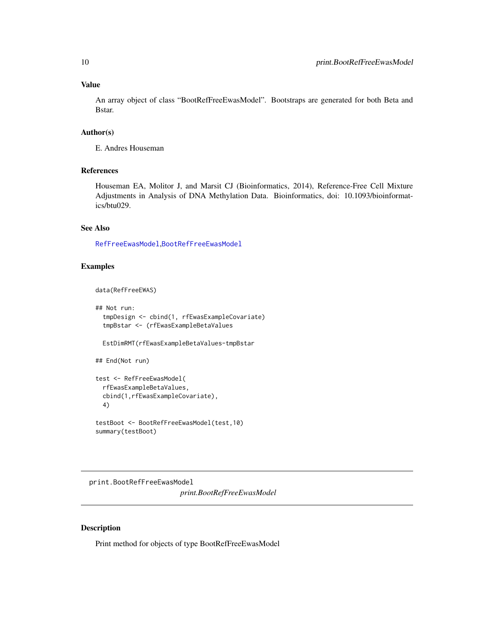## <span id="page-9-0"></span>Value

An array object of class "BootRefFreeEwasModel". Bootstraps are generated for both Beta and Bstar.

# Author(s)

E. Andres Houseman

# References

Houseman EA, Molitor J, and Marsit CJ (Bioinformatics, 2014), Reference-Free Cell Mixture Adjustments in Analysis of DNA Methylation Data. Bioinformatics, doi: 10.1093/bioinformatics/btu029.

## See Also

[RefFreeEwasModel](#page-18-1),[BootRefFreeEwasModel](#page-2-1)

# Examples

data(RefFreeEWAS)

```
## Not run:
 tmpDesign <- cbind(1, rfEwasExampleCovariate)
 tmpBstar <- (rfEwasExampleBetaValues
 EstDimRMT(rfEwasExampleBetaValues-tmpBstar
## End(Not run)
test <- RefFreeEwasModel(
 rfEwasExampleBetaValues,
 cbind(1,rfEwasExampleCovariate),
 4)
```

```
testBoot <- BootRefFreeEwasModel(test,10)
summary(testBoot)
```
print.BootRefFreeEwasModel *print.BootRefFreeEwasModel*

# Description

Print method for objects of type BootRefFreeEwasModel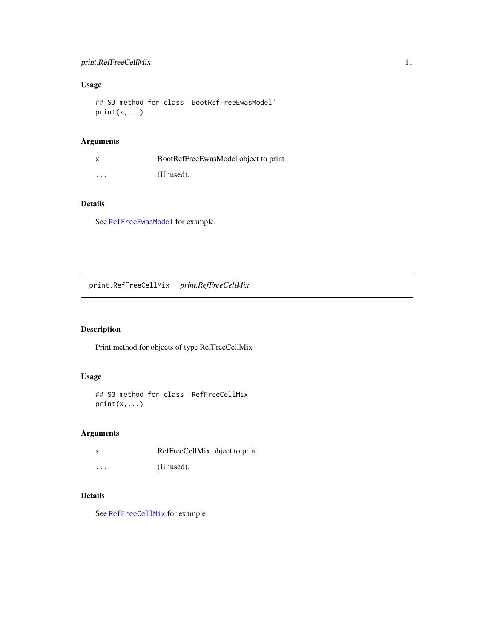# <span id="page-10-0"></span>print.RefFreeCellMix 11

# Usage

## S3 method for class 'BootRefFreeEwasModel'  $print(x, \ldots)$ 

# Arguments

|                         | BootRefFreeEwasModel object to print |
|-------------------------|--------------------------------------|
| $\cdot$ $\cdot$ $\cdot$ | (Unused).                            |

# Details

See [RefFreeEwasModel](#page-18-1) for example.

print.RefFreeCellMix *print.RefFreeCellMix*

# Description

Print method for objects of type RefFreeCellMix

# Usage

```
## S3 method for class 'RefFreeCellMix'
print(x,...)
```
# Arguments

|                         | RefFreeCellMix object to print |
|-------------------------|--------------------------------|
| $\cdot$ $\cdot$ $\cdot$ | (Unused).                      |

# Details

See [RefFreeCellMix](#page-13-1) for example.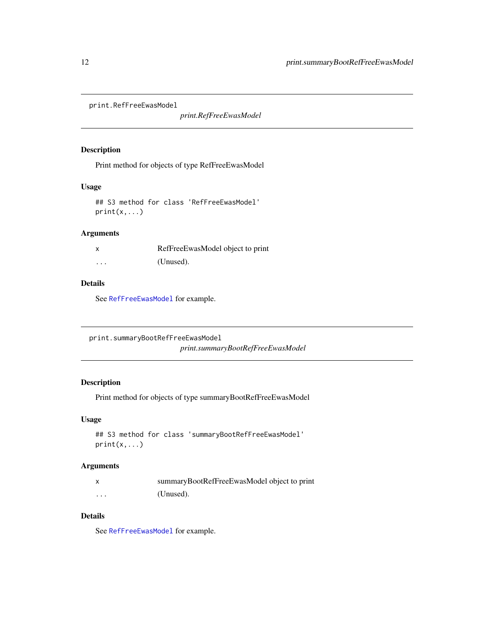<span id="page-11-0"></span>print.RefFreeEwasModel

*print.RefFreeEwasModel*

## Description

Print method for objects of type RefFreeEwasModel

# Usage

## S3 method for class 'RefFreeEwasModel'  $print(x,...)$ 

# Arguments

|          | RefFreeEwasModel object to print |
|----------|----------------------------------|
| $\cdots$ | (Unused).                        |

# Details

See [RefFreeEwasModel](#page-18-1) for example.

print.summaryBootRefFreeEwasModel

*print.summaryBootRefFreeEwasModel*

# Description

Print method for objects of type summaryBootRefFreeEwasModel

## Usage

```
## S3 method for class 'summaryBootRefFreeEwasModel'
print(x,...)
```
# Arguments

|   | summaryBootRefFreeEwasModel object to print |
|---|---------------------------------------------|
| . | (Unused).                                   |

# Details

See [RefFreeEwasModel](#page-18-1) for example.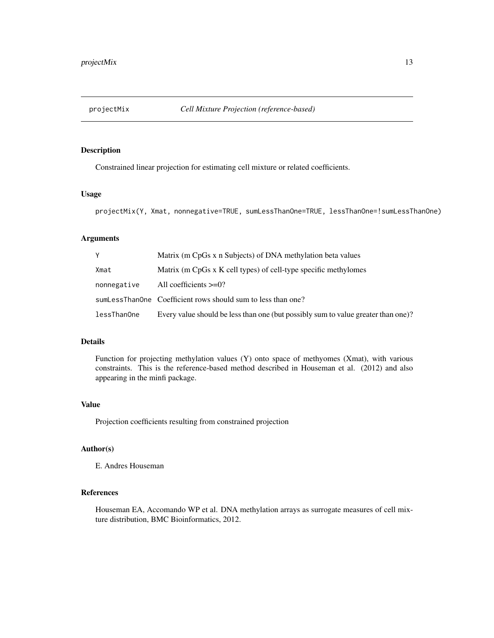<span id="page-12-0"></span>

# Description

Constrained linear projection for estimating cell mixture or related coefficients.

# Usage

projectMix(Y, Xmat, nonnegative=TRUE, sumLessThanOne=TRUE, lessThanOne=!sumLessThanOne)

# Arguments

| Y           | Matrix (m CpGs x n Subjects) of DNA methylation beta values                       |
|-------------|-----------------------------------------------------------------------------------|
| Xmat        | Matrix (m CpGs x K cell types) of cell-type specific methylomes                   |
| nonnegative | All coefficients $>=0$ ?                                                          |
|             | sumLessThanOne Coefficient rows should sum to less than one?                      |
| lessThanOne | Every value should be less than one (but possibly sum to value greater than one)? |

## Details

Function for projecting methylation values (Y) onto space of methyomes (Xmat), with various constraints. This is the reference-based method described in Houseman et al. (2012) and also appearing in the minfi package.

## Value

Projection coefficients resulting from constrained projection

# Author(s)

E. Andres Houseman

## References

Houseman EA, Accomando WP et al. DNA methylation arrays as surrogate measures of cell mixture distribution, BMC Bioinformatics, 2012.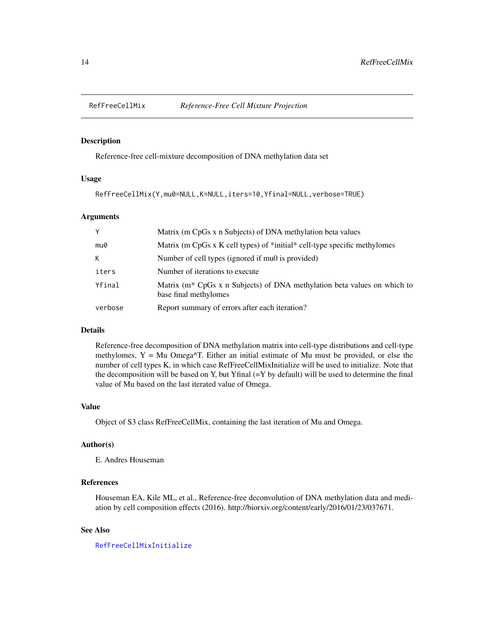<span id="page-13-1"></span><span id="page-13-0"></span>

## Description

Reference-free cell-mixture decomposition of DNA methylation data set

## Usage

```
RefFreeCellMix(Y,mu0=NULL,K=NULL,iters=10,Yfinal=NULL,verbose=TRUE)
```
## Arguments

| Y       | Matrix (m CpGs x n Subjects) of DNA methylation beta values                                                   |
|---------|---------------------------------------------------------------------------------------------------------------|
| mu0     | Matrix (m CpGs x K cell types) of *initial* cell-type specific methylomes                                     |
| К       | Number of cell types (ignored if mu0 is provided)                                                             |
| iters   | Number of iterations to execute                                                                               |
| Yfinal  | Matrix (m <sup>*</sup> CpGs x n Subjects) of DNA methylation beta values on which to<br>base final methylomes |
| verbose | Report summary of errors after each iteration?                                                                |

# Details

Reference-free decomposition of DNA methylation matrix into cell-type distributions and cell-type methylomes,  $Y = Mu$  Omega $\Delta T$ . Either an initial estimate of Mu must be provided, or else the number of cell types K, in which case RefFreeCellMixInitialize will be used to initialize. Note that the decomposition will be based on Y, but Yfinal  $(=Y$  by default) will be used to determine the final value of Mu based on the last iterated value of Omega.

## Value

Object of S3 class RefFreeCellMix, containing the last iteration of Mu and Omega.

## Author(s)

E. Andres Houseman

# References

Houseman EA, Kile ML, et al., Reference-free deconvolution of DNA methylation data and mediation by cell composition effects (2016). http://biorxiv.org/content/early/2016/01/23/037671.

## See Also

## [RefFreeCellMixInitialize](#page-17-1)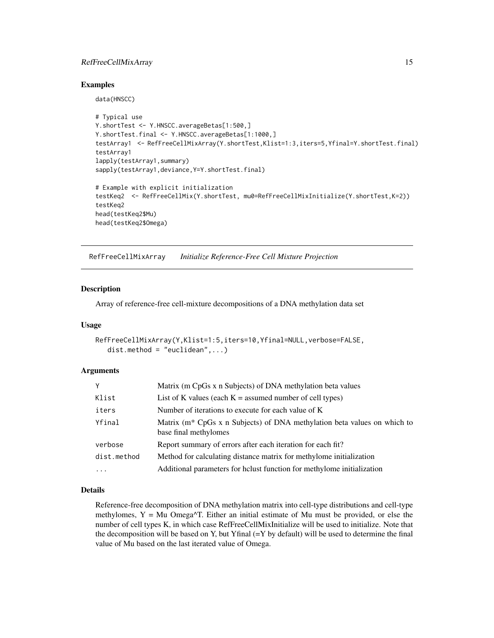# <span id="page-14-0"></span>RefFreeCellMixArray 15

## Examples

data(HNSCC)

```
# Typical use
Y.shortTest <- Y.HNSCC.averageBetas[1:500,]
Y.shortTest.final <- Y.HNSCC.averageBetas[1:1000,]
testArray1 <- RefFreeCellMixArray(Y.shortTest,Klist=1:3,iters=5,Yfinal=Y.shortTest.final)
testArray1
lapply(testArray1,summary)
sapply(testArray1,deviance,Y=Y.shortTest.final)
# Example with explicit initialization
testKeq2 <- RefFreeCellMix(Y.shortTest, mu0=RefFreeCellMixInitialize(Y.shortTest,K=2))
testKeq2
head(testKeq2$Mu)
head(testKeq2$Omega)
```
<span id="page-14-1"></span>RefFreeCellMixArray *Initialize Reference-Free Cell Mixture Projection*

### Description

Array of reference-free cell-mixture decompositions of a DNA methylation data set

## Usage

```
RefFreeCellMixArray(Y,Klist=1:5,iters=10,Yfinal=NULL,verbose=FALSE,
   dist.method = "euclidean",...)
```
## Arguments

| Y                   | Matrix (m CpGs x n Subjects) of DNA methylation beta values                                                   |
|---------------------|---------------------------------------------------------------------------------------------------------------|
| Klist               | List of K values (each $K =$ assumed number of cell types)                                                    |
| iters               | Number of iterations to execute for each value of K                                                           |
| Yfinal              | Matrix (m <sup>*</sup> CpGs x n Subjects) of DNA methylation beta values on which to<br>base final methylomes |
| verbose             | Report summary of errors after each iteration for each fit?                                                   |
| dist.method         | Method for calculating distance matrix for methylome initialization                                           |
| $\cdot \cdot \cdot$ | Additional parameters for helust function for methylome initialization                                        |

## Details

Reference-free decomposition of DNA methylation matrix into cell-type distributions and cell-type methylomes,  $Y = Mu$  Omega $\Delta T$ . Either an initial estimate of Mu must be provided, or else the number of cell types K, in which case RefFreeCellMixInitialize will be used to initialize. Note that the decomposition will be based on Y, but Yfinal  $(=Y$  by default) will be used to determine the final value of Mu based on the last iterated value of Omega.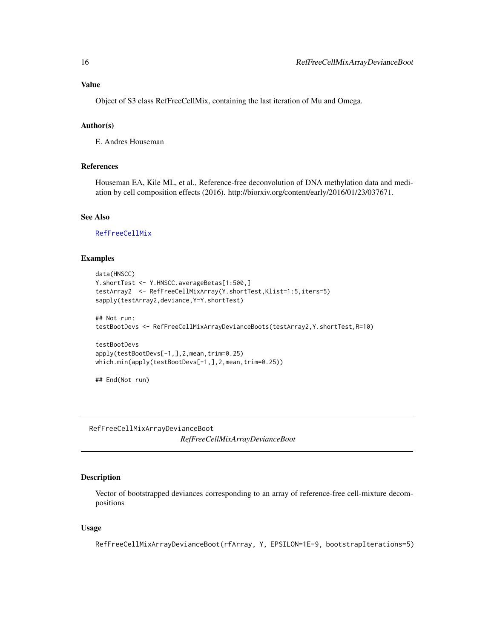# <span id="page-15-0"></span>Value

Object of S3 class RefFreeCellMix, containing the last iteration of Mu and Omega.

## Author(s)

E. Andres Houseman

# References

Houseman EA, Kile ML, et al., Reference-free deconvolution of DNA methylation data and mediation by cell composition effects (2016). http://biorxiv.org/content/early/2016/01/23/037671.

# See Also

[RefFreeCellMix](#page-13-1)

## Examples

```
data(HNSCC)
Y.shortTest <- Y.HNSCC.averageBetas[1:500,]
testArray2 <- RefFreeCellMixArray(Y.shortTest,Klist=1:5,iters=5)
sapply(testArray2,deviance,Y=Y.shortTest)
## Not run:
testBootDevs <- RefFreeCellMixArrayDevianceBoots(testArray2,Y.shortTest,R=10)
testBootDevs
apply(testBootDevs[-1,],2,mean,trim=0.25)
which.min(apply(testBootDevs[-1,],2,mean,trim=0.25))
## End(Not run)
```
RefFreeCellMixArrayDevianceBoot *RefFreeCellMixArrayDevianceBoot*

# Description

Vector of bootstrapped deviances corresponding to an array of reference-free cell-mixture decompositions

## Usage

RefFreeCellMixArrayDevianceBoot(rfArray, Y, EPSILON=1E-9, bootstrapIterations=5)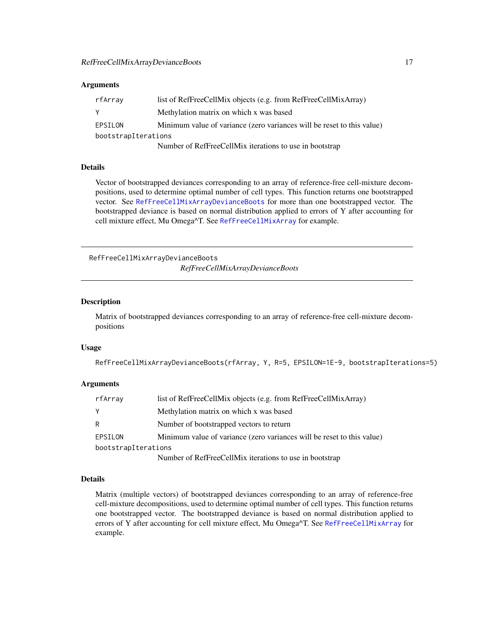## <span id="page-16-0"></span>Arguments

| rfArray             | list of RefFreeCellMix objects (e.g. from RefFreeCellMixArray)         |
|---------------------|------------------------------------------------------------------------|
| Y                   | Methylation matrix on which x was based                                |
| EPSILON             | Minimum value of variance (zero variances will be reset to this value) |
| bootstrapIterations |                                                                        |
|                     | Number of RefFreeCellMix iterations to use in bootstrap                |

# Details

Vector of bootstrapped deviances corresponding to an array of reference-free cell-mixture decompositions, used to determine optimal number of cell types. This function returns one bootstrapped vector. See [RefFreeCellMixArrayDevianceBoots](#page-16-1) for more than one bootstrapped vector. The bootstrapped deviance is based on normal distribution applied to errors of Y after accounting for cell mixture effect, Mu Omega^T. See [RefFreeCellMixArray](#page-14-1) for example.

<span id="page-16-1"></span>RefFreeCellMixArrayDevianceBoots *RefFreeCellMixArrayDevianceBoots*

#### Description

Matrix of bootstrapped deviances corresponding to an array of reference-free cell-mixture decompositions

#### Usage

```
RefFreeCellMixArrayDevianceBoots(rfArray, Y, R=5, EPSILON=1E-9, bootstrapIterations=5)
```
## Arguments

| rfArray             | list of RefFreeCellMix objects (e.g. from RefFreeCellMixArray)         |
|---------------------|------------------------------------------------------------------------|
| Y                   | Methylation matrix on which x was based                                |
| R                   | Number of bootstrapped vectors to return                               |
| EPSILON             | Minimum value of variance (zero variances will be reset to this value) |
| bootstrapIterations |                                                                        |
|                     | $\sim$ $\sim$ $\sim$                                                   |

Number of RefFreeCellMix iterations to use in bootstrap

## Details

Matrix (multiple vectors) of bootstrapped deviances corresponding to an array of reference-free cell-mixture decompositions, used to determine optimal number of cell types. This function returns one bootstrapped vector. The bootstrapped deviance is based on normal distribution applied to errors of Y after accounting for cell mixture effect, Mu Omega^T. See [RefFreeCellMixArray](#page-14-1) for example.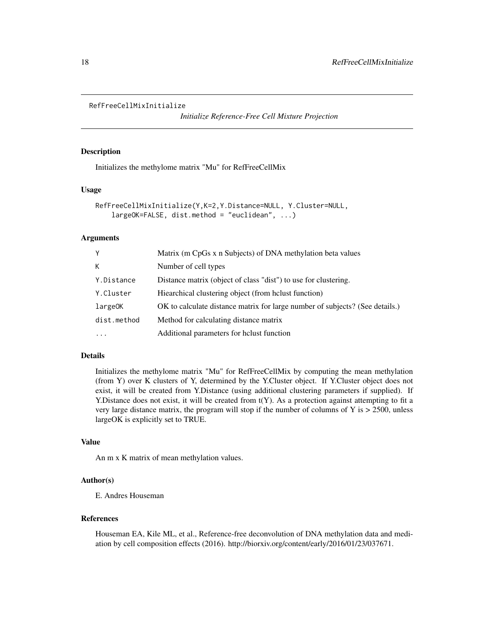```
RefFreeCellMixInitialize
```
*Initialize Reference-Free Cell Mixture Projection*

# Description

Initializes the methylome matrix "Mu" for RefFreeCellMix

# Usage

```
RefFreeCellMixInitialize(Y,K=2,Y.Distance=NULL, Y.Cluster=NULL,
   largeOK=FALSE, dist.method = "euclidean", ...)
```
## Arguments

| Y           | Matrix (m CpGs x n Subjects) of DNA methylation beta values                  |
|-------------|------------------------------------------------------------------------------|
| К           | Number of cell types                                                         |
| Y.Distance  | Distance matrix (object of class "dist") to use for clustering.              |
| Y.Cluster   | Hiearchical clustering object (from helust function)                         |
| largeOK     | OK to calculate distance matrix for large number of subjects? (See details.) |
| dist.method | Method for calculating distance matrix                                       |
| $\cdot$     | Additional parameters for helust function                                    |

# Details

Initializes the methylome matrix "Mu" for RefFreeCellMix by computing the mean methylation (from Y) over K clusters of Y, determined by the Y.Cluster object. If Y.Cluster object does not exist, it will be created from Y.Distance (using additional clustering parameters if supplied). If Y.Distance does not exist, it will be created from t(Y). As a protection against attempting to fit a very large distance matrix, the program will stop if the number of columns of Y is  $> 2500$ , unless largeOK is explicitly set to TRUE.

## Value

An m x K matrix of mean methylation values.

## Author(s)

E. Andres Houseman

## References

Houseman EA, Kile ML, et al., Reference-free deconvolution of DNA methylation data and mediation by cell composition effects (2016). http://biorxiv.org/content/early/2016/01/23/037671.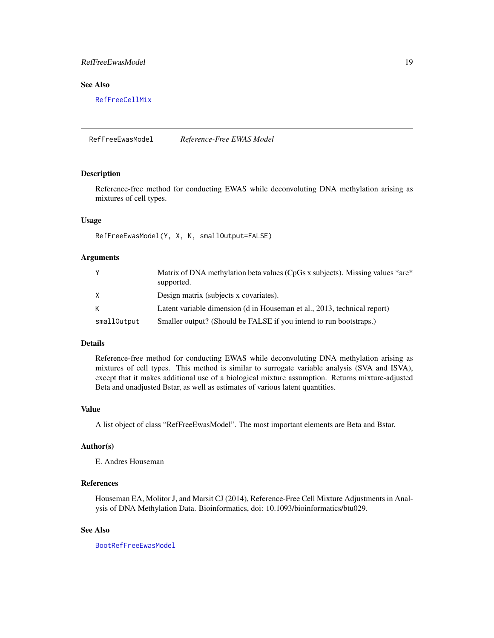# <span id="page-18-0"></span>RefFreeEwasModel 19

# See Also

[RefFreeCellMix](#page-13-1)

<span id="page-18-1"></span>RefFreeEwasModel *Reference-Free EWAS Model*

## Description

Reference-free method for conducting EWAS while deconvoluting DNA methylation arising as mixtures of cell types.

## Usage

RefFreeEwasModel(Y, X, K, smallOutput=FALSE)

# Arguments

| Y           | Matrix of DNA methylation beta values (CpGs x subjects). Missing values *are*<br>supported. |
|-------------|---------------------------------------------------------------------------------------------|
| X           | Design matrix (subjects x covariates).                                                      |
| K           | Latent variable dimension (d in Houseman et al., 2013, technical report)                    |
| smallOutput | Smaller output? (Should be FALSE if you intend to run bootstraps.)                          |

## Details

Reference-free method for conducting EWAS while deconvoluting DNA methylation arising as mixtures of cell types. This method is similar to surrogate variable analysis (SVA and ISVA), except that it makes additional use of a biological mixture assumption. Returns mixture-adjusted Beta and unadjusted Bstar, as well as estimates of various latent quantities.

## Value

A list object of class "RefFreeEwasModel". The most important elements are Beta and Bstar.

## Author(s)

E. Andres Houseman

## References

Houseman EA, Molitor J, and Marsit CJ (2014), Reference-Free Cell Mixture Adjustments in Analysis of DNA Methylation Data. Bioinformatics, doi: 10.1093/bioinformatics/btu029.

# See Also

[BootRefFreeEwasModel](#page-2-1)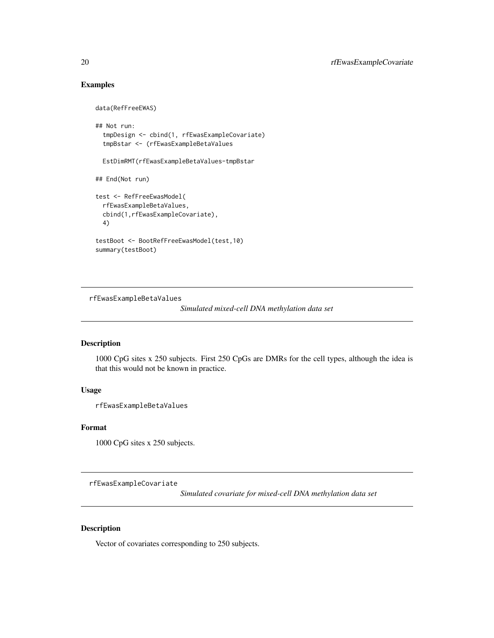# Examples

```
data(RefFreeEWAS)
## Not run:
 tmpDesign <- cbind(1, rfEwasExampleCovariate)
 tmpBstar <- (rfEwasExampleBetaValues
 EstDimRMT(rfEwasExampleBetaValues-tmpBstar
## End(Not run)
test <- RefFreeEwasModel(
 rfEwasExampleBetaValues,
 cbind(1,rfEwasExampleCovariate),
 4)
testBoot <- BootRefFreeEwasModel(test,10)
summary(testBoot)
```
rfEwasExampleBetaValues

*Simulated mixed-cell DNA methylation data set*

# Description

1000 CpG sites x 250 subjects. First 250 CpGs are DMRs for the cell types, although the idea is that this would not be known in practice.

# Usage

rfEwasExampleBetaValues

#### Format

1000 CpG sites x 250 subjects.

rfEwasExampleCovariate

*Simulated covariate for mixed-cell DNA methylation data set*

# Description

Vector of covariates corresponding to 250 subjects.

<span id="page-19-0"></span>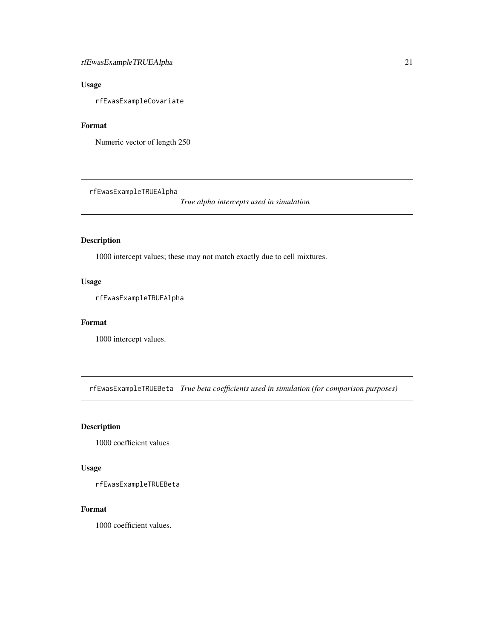# <span id="page-20-0"></span>rfEwasExampleTRUEAlpha 21

# Usage

rfEwasExampleCovariate

# Format

Numeric vector of length 250

rfEwasExampleTRUEAlpha

*True alpha intercepts used in simulation*

# Description

1000 intercept values; these may not match exactly due to cell mixtures.

# Usage

rfEwasExampleTRUEAlpha

## Format

1000 intercept values.

rfEwasExampleTRUEBeta *True beta coefficients used in simulation (for comparison purposes)*

# Description

1000 coefficient values

# Usage

rfEwasExampleTRUEBeta

## Format

1000 coefficient values.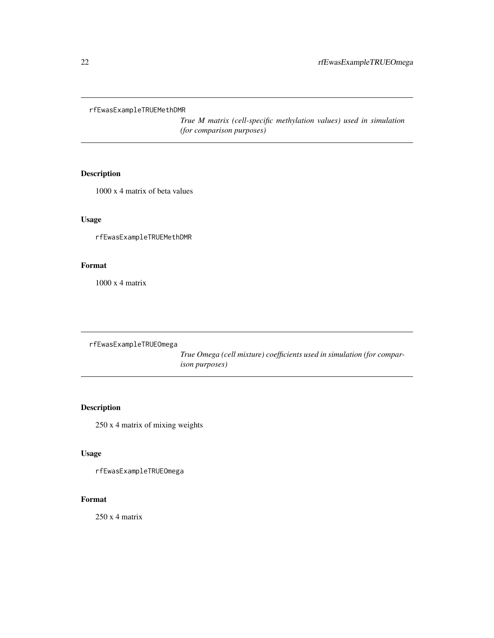<span id="page-21-0"></span>rfEwasExampleTRUEMethDMR

*True M matrix (cell-specific methylation values) used in simulation (for comparison purposes)*

# Description

1000 x 4 matrix of beta values

# Usage

rfEwasExampleTRUEMethDMR

# Format

1000 x 4 matrix

rfEwasExampleTRUEOmega

*True Omega (cell mixture) coefficients used in simulation (for comparison purposes)*

# Description

250 x 4 matrix of mixing weights

# Usage

rfEwasExampleTRUEOmega

# Format

250 x 4 matrix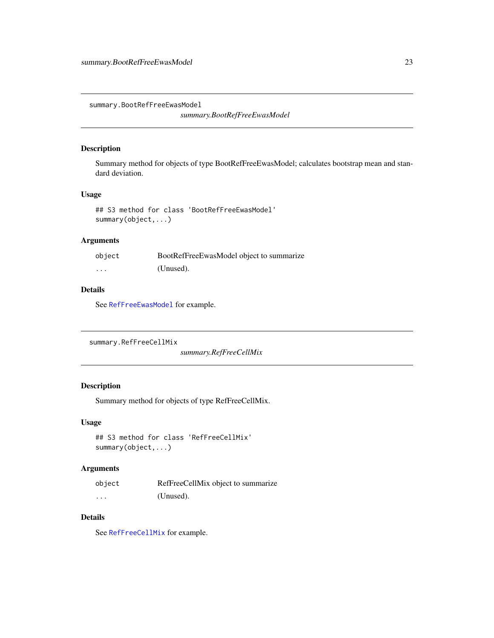<span id="page-22-0"></span>summary.BootRefFreeEwasModel

*summary.BootRefFreeEwasModel*

## Description

Summary method for objects of type BootRefFreeEwasModel; calculates bootstrap mean and standard deviation.

## Usage

## S3 method for class 'BootRefFreeEwasModel' summary(object,...)

# Arguments

| object   | BootRefFreeEwasModel object to summarize |
|----------|------------------------------------------|
| $\cdots$ | (Unused).                                |

# Details

See [RefFreeEwasModel](#page-18-1) for example.

```
summary.RefFreeCellMix
```
*summary.RefFreeCellMix*

# Description

Summary method for objects of type RefFreeCellMix.

# Usage

```
## S3 method for class 'RefFreeCellMix'
summary(object,...)
```
# Arguments

| object | RefFreeCellMix object to summarize |
|--------|------------------------------------|
| .      | (Unused).                          |

# Details

See [RefFreeCellMix](#page-13-1) for example.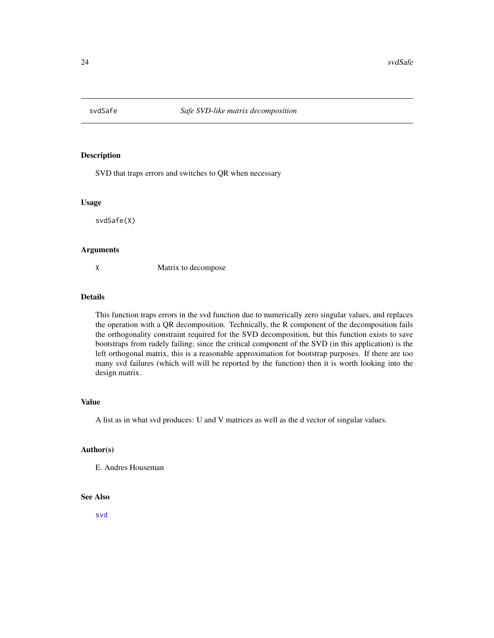<span id="page-23-0"></span>

# Description

SVD that traps errors and switches to QR when necessary

#### Usage

svdSafe(X)

#### Arguments

X Matrix to decompose

# Details

This function traps errors in the svd function due to numerically zero singular values, and replaces the operation with a QR decomposition. Technically, the R component of the decomposition fails the orthogonality constraint required for the SVD decomposition, but this function exists to save bootstraps from rudely failing; since the critical component of the SVD (in this application) is the left orthogonal matrix, this is a reasonable approximation for bootstrap purposes. If there are too many svd failures (which will will be reported by the function) then it is worth looking into the design matrix.

## Value

A list as in what svd produces: U and V matrices as well as the d vector of singular values.

# Author(s)

E. Andres Houseman

## See Also

[svd](#page-0-0)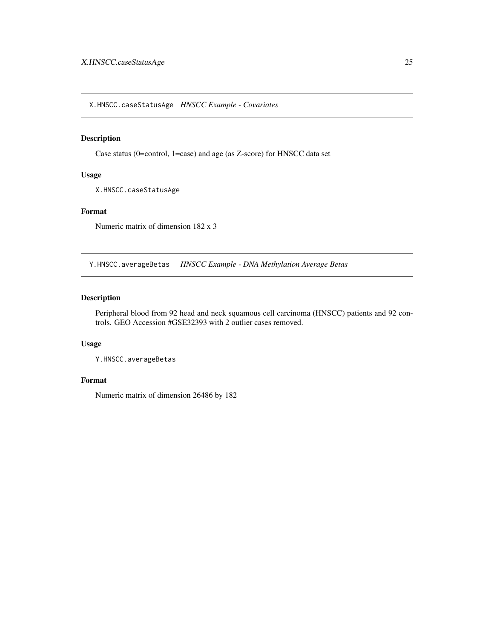<span id="page-24-0"></span>X.HNSCC.caseStatusAge *HNSCC Example - Covariates*

# Description

Case status (0=control, 1=case) and age (as Z-score) for HNSCC data set

# Usage

X.HNSCC.caseStatusAge

# Format

Numeric matrix of dimension 182 x 3

Y.HNSCC.averageBetas *HNSCC Example - DNA Methylation Average Betas*

# Description

Peripheral blood from 92 head and neck squamous cell carcinoma (HNSCC) patients and 92 controls. GEO Accession #GSE32393 with 2 outlier cases removed.

## Usage

Y.HNSCC.averageBetas

## Format

Numeric matrix of dimension 26486 by 182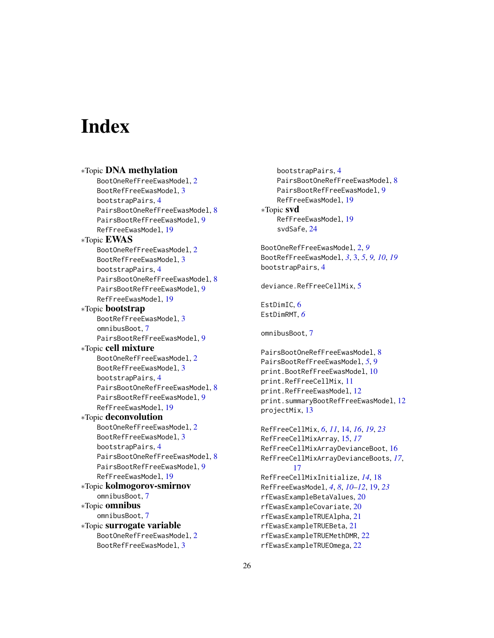# <span id="page-25-0"></span>Index

∗Topic DNA methylation BootOneRefFreeEwasModel, [2](#page-1-0) BootRefFreeEwasModel, [3](#page-2-0) bootstrapPairs, [4](#page-3-0) PairsBootOneRefFreeEwasModel, [8](#page-7-0) PairsBootRefFreeEwasModel, [9](#page-8-0) RefFreeEwasModel, [19](#page-18-0) ∗Topic EWAS BootOneRefFreeEwasModel, [2](#page-1-0) BootRefFreeEwasModel, [3](#page-2-0) bootstrapPairs, [4](#page-3-0) PairsBootOneRefFreeEwasModel, [8](#page-7-0) PairsBootRefFreeEwasModel, [9](#page-8-0) RefFreeEwasModel, [19](#page-18-0) ∗Topic bootstrap BootRefFreeEwasModel, [3](#page-2-0) omnibusBoot, [7](#page-6-0) PairsBootRefFreeEwasModel, [9](#page-8-0) ∗Topic cell mixture BootOneRefFreeEwasModel, [2](#page-1-0) BootRefFreeEwasModel, [3](#page-2-0) bootstrapPairs, [4](#page-3-0) PairsBootOneRefFreeEwasModel, [8](#page-7-0) PairsBootRefFreeEwasModel, [9](#page-8-0) RefFreeEwasModel, [19](#page-18-0) ∗Topic deconvolution BootOneRefFreeEwasModel, [2](#page-1-0) BootRefFreeEwasModel, [3](#page-2-0) bootstrapPairs, [4](#page-3-0) PairsBootOneRefFreeEwasModel, [8](#page-7-0) PairsBootRefFreeEwasModel, [9](#page-8-0) RefFreeEwasModel, [19](#page-18-0) ∗Topic kolmogorov-smirnov omnibusBoot, [7](#page-6-0) ∗Topic omnibus omnibusBoot, [7](#page-6-0) ∗Topic surrogate variable BootOneRefFreeEwasModel, [2](#page-1-0) BootRefFreeEwasModel, [3](#page-2-0)

bootstrapPairs, [4](#page-3-0) PairsBootOneRefFreeEwasModel, [8](#page-7-0) PairsBootRefFreeEwasModel, [9](#page-8-0) RefFreeEwasModel, [19](#page-18-0) ∗Topic svd RefFreeEwasModel, [19](#page-18-0) svdSafe, [24](#page-23-0) BootOneRefFreeEwasModel, [2,](#page-1-0) *[9](#page-8-0)* BootRefFreeEwasModel, *[3](#page-2-0)*, [3,](#page-2-0) *[5](#page-4-0)*, *[9,](#page-8-0) [10](#page-9-0)*, *[19](#page-18-0)* bootstrapPairs, [4](#page-3-0) deviance.RefFreeCellMix, [5](#page-4-0) EstDimIC, [6](#page-5-0) EstDimRMT, *[6](#page-5-0)* omnibusBoot, [7](#page-6-0) PairsBootOneRefFreeEwasModel, [8](#page-7-0) PairsBootRefFreeEwasModel, *[5](#page-4-0)*, [9](#page-8-0) print.BootRefFreeEwasModel, [10](#page-9-0) print.RefFreeCellMix, [11](#page-10-0) print.RefFreeEwasModel, [12](#page-11-0) print.summaryBootRefFreeEwasModel, [12](#page-11-0) projectMix, [13](#page-12-0) RefFreeCellMix, *[6](#page-5-0)*, *[11](#page-10-0)*, [14,](#page-13-0) *[16](#page-15-0)*, *[19](#page-18-0)*, *[23](#page-22-0)* RefFreeCellMixArray, [15,](#page-14-0) *[17](#page-16-0)* RefFreeCellMixArrayDevianceBoot, [16](#page-15-0) RefFreeCellMixArrayDevianceBoots, *[17](#page-16-0)*, [17](#page-16-0) RefFreeCellMixInitialize, *[14](#page-13-0)*, [18](#page-17-0) RefFreeEwasModel, *[4](#page-3-0)*, *[8](#page-7-0)*, *[10](#page-9-0)[–12](#page-11-0)*, [19,](#page-18-0) *[23](#page-22-0)* rfEwasExampleBetaValues, [20](#page-19-0) rfEwasExampleCovariate, [20](#page-19-0) rfEwasExampleTRUEAlpha, [21](#page-20-0) rfEwasExampleTRUEBeta, [21](#page-20-0) rfEwasExampleTRUEMethDMR, [22](#page-21-0)

rfEwasExampleTRUEOmega, [22](#page-21-0)